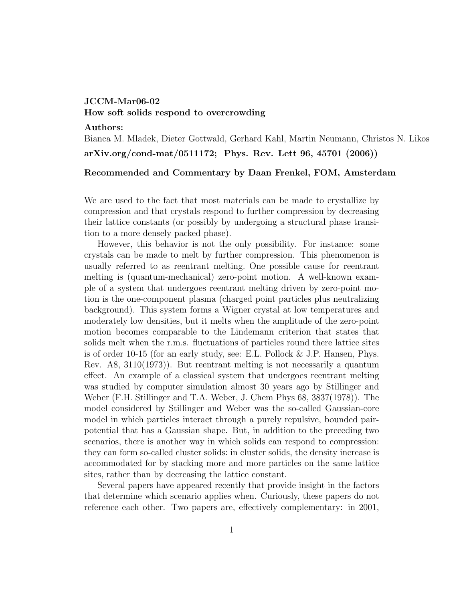## JCCM-Mar06-02

## How soft solids respond to overcrowding

Authors:

Bianca M. Mladek, Dieter Gottwald, Gerhard Kahl, Martin Neumann, Christos N. Likos arXiv.org/cond-mat/0511172; Phys. Rev. Lett 96, 45701 (2006))

## Recommended and Commentary by Daan Frenkel, FOM, Amsterdam

We are used to the fact that most materials can be made to crystallize by compression and that crystals respond to further compression by decreasing their lattice constants (or possibly by undergoing a structural phase transition to a more densely packed phase).

However, this behavior is not the only possibility. For instance: some crystals can be made to melt by further compression. This phenomenon is usually referred to as reentrant melting. One possible cause for reentrant melting is (quantum-mechanical) zero-point motion. A well-known example of a system that undergoes reentrant melting driven by zero-point motion is the one-component plasma (charged point particles plus neutralizing background). This system forms a Wigner crystal at low temperatures and moderately low densities, but it melts when the amplitude of the zero-point motion becomes comparable to the Lindemann criterion that states that solids melt when the r.m.s. fluctuations of particles round there lattice sites is of order 10-15 (for an early study, see: E.L. Pollock & J.P. Hansen, Phys. Rev. A8, 3110(1973)). But reentrant melting is not necessarily a quantum effect. An example of a classical system that undergoes reentrant melting was studied by computer simulation almost 30 years ago by Stillinger and Weber (F.H. Stillinger and T.A. Weber, J. Chem Phys 68, 3837(1978)). The model considered by Stillinger and Weber was the so-called Gaussian-core model in which particles interact through a purely repulsive, bounded pairpotential that has a Gaussian shape. But, in addition to the preceding two scenarios, there is another way in which solids can respond to compression: they can form so-called cluster solids: in cluster solids, the density increase is accommodated for by stacking more and more particles on the same lattice sites, rather than by decreasing the lattice constant.

Several papers have appeared recently that provide insight in the factors that determine which scenario applies when. Curiously, these papers do not reference each other. Two papers are, effectively complementary: in 2001,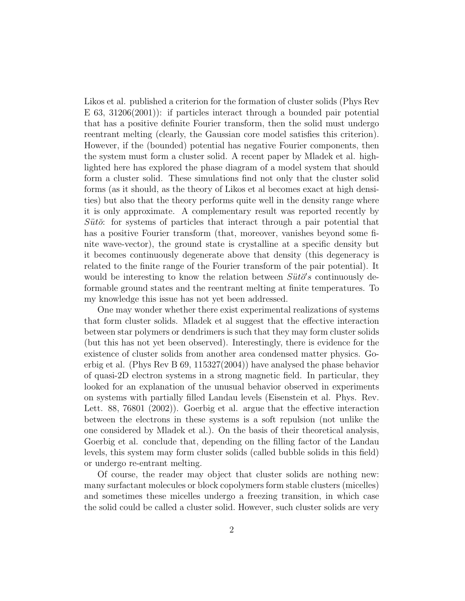Likos et al. published a criterion for the formation of cluster solids (Phys Rev E 63, 31206(2001)): if particles interact through a bounded pair potential that has a positive definite Fourier transform, then the solid must undergo reentrant melting (clearly, the Gaussian core model satisfies this criterion). However, if the (bounded) potential has negative Fourier components, then the system must form a cluster solid. A recent paper by Mladek et al. highlighted here has explored the phase diagram of a model system that should form a cluster solid. These simulations find not only that the cluster solid forms (as it should, as the theory of Likos et al becomes exact at high densities) but also that the theory performs quite well in the density range where it is only approximate. A complementary result was reported recently by  $S\ddot{u}t\ddot{o}$ : for systems of particles that interact through a pair potential that has a positive Fourier transform (that, moreover, vanishes beyond some finite wave-vector), the ground state is crystalline at a specific density but it becomes continuously degenerate above that density (this degeneracy is related to the finite range of the Fourier transform of the pair potential). It would be interesting to know the relation between  $S\ddot{u}t\ddot{o}'s$  continuously deformable ground states and the reentrant melting at finite temperatures. To my knowledge this issue has not yet been addressed.

One may wonder whether there exist experimental realizations of systems that form cluster solids. Mladek et al suggest that the effective interaction between star polymers or dendrimers is such that they may form cluster solids (but this has not yet been observed). Interestingly, there is evidence for the existence of cluster solids from another area condensed matter physics. Goerbig et al. (Phys Rev B 69, 115327(2004)) have analysed the phase behavior of quasi-2D electron systems in a strong magnetic field. In particular, they looked for an explanation of the unusual behavior observed in experiments on systems with partially filled Landau levels (Eisenstein et al. Phys. Rev. Lett. 88, 76801 (2002)). Goerbig et al. argue that the effective interaction between the electrons in these systems is a soft repulsion (not unlike the one considered by Mladek et al.). On the basis of their theoretical analysis, Goerbig et al. conclude that, depending on the filling factor of the Landau levels, this system may form cluster solids (called bubble solids in this field) or undergo re-entrant melting.

Of course, the reader may object that cluster solids are nothing new: many surfactant molecules or block copolymers form stable clusters (micelles) and sometimes these micelles undergo a freezing transition, in which case the solid could be called a cluster solid. However, such cluster solids are very